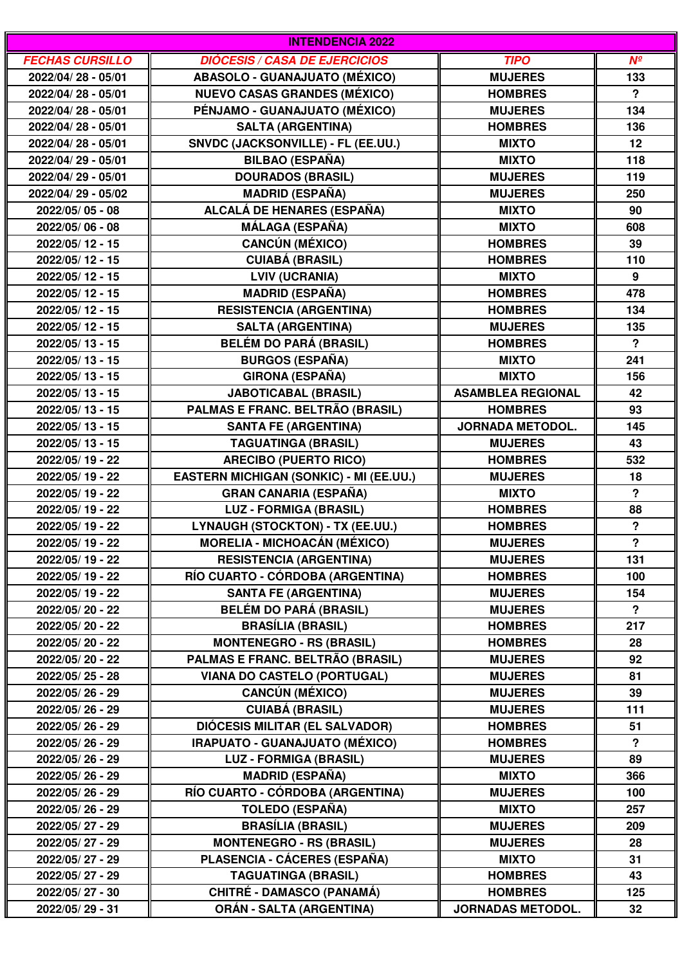| <b>INTENDENCIA 2022</b> |                                                |                          |                      |  |
|-------------------------|------------------------------------------------|--------------------------|----------------------|--|
| <b>FECHAS CURSILLO</b>  | <b>DIÓCESIS / CASA DE EJERCICIOS</b>           | <b>TIPO</b>              | $N^{\circ}$          |  |
| 2022/04/28 - 05/01      | <b>ABASOLO - GUANAJUATO (MÉXICO)</b>           | <b>MUJERES</b>           | 133                  |  |
| 2022/04/28 - 05/01      | <b>NUEVO CASAS GRANDES (MÉXICO)</b>            | <b>HOMBRES</b>           | $\mathbf{P}$         |  |
| 2022/04/28 - 05/01      | PÉNJAMO - GUANAJUATO (MÉXICO)                  | <b>MUJERES</b>           | 134                  |  |
| 2022/04/28 - 05/01      | <b>SALTA (ARGENTINA)</b>                       | <b>HOMBRES</b>           | 136                  |  |
| 2022/04/28 - 05/01      | SNVDC (JACKSONVILLE) - FL (EE.UU.)             | <b>MIXTO</b>             | 12                   |  |
| 2022/04/29 - 05/01      | <b>BILBAO (ESPAÑA)</b>                         | <b>MIXTO</b>             | 118                  |  |
| 2022/04/29 - 05/01      | <b>DOURADOS (BRASIL)</b>                       | <b>MUJERES</b>           | 119                  |  |
| 2022/04/29 - 05/02      | <b>MADRID (ESPAÑA)</b>                         | <b>MUJERES</b>           | 250                  |  |
| 2022/05/05 - 08         | ALCALÁ DE HENARES (ESPAÑA)                     | <b>MIXTO</b>             | 90                   |  |
| 2022/05/06 - 08         | MÁLAGA (ESPAÑA)                                | <b>MIXTO</b>             | 608                  |  |
| 2022/05/12 - 15         | <b>CANCÚN (MÉXICO)</b>                         | <b>HOMBRES</b>           | 39                   |  |
| 2022/05/12 - 15         | <b>CUIABÁ (BRASIL)</b>                         | <b>HOMBRES</b>           | 110                  |  |
| 2022/05/12 - 15         | <b>LVIV (UCRANIA)</b>                          | <b>MIXTO</b>             | 9                    |  |
| 2022/05/12 - 15         | <b>MADRID (ESPAÑA)</b>                         | <b>HOMBRES</b>           | 478                  |  |
| 2022/05/12 - 15         | <b>RESISTENCIA (ARGENTINA)</b>                 | <b>HOMBRES</b>           | 134                  |  |
| 2022/05/12 - 15         | <b>SALTA (ARGENTINA)</b>                       | <b>MUJERES</b>           | 135                  |  |
| 2022/05/13 - 15         | <b>BELÉM DO PARÁ (BRASIL)</b>                  | <b>HOMBRES</b>           | $\mathbf{P}$         |  |
| 2022/05/13 - 15         | <b>BURGOS (ESPAÑA)</b>                         | <b>MIXTO</b>             | 241                  |  |
| 2022/05/13 - 15         | <b>GIRONA (ESPAÑA)</b>                         | <b>MIXTO</b>             | 156                  |  |
| 2022/05/13 - 15         | <b>JABOTICABAL (BRASIL)</b>                    | <b>ASAMBLEA REGIONAL</b> | 42                   |  |
| 2022/05/13 - 15         | PALMAS E FRANC. BELTRÃO (BRASIL)               | <b>HOMBRES</b>           | 93                   |  |
| 2022/05/13 - 15         | <b>SANTA FE (ARGENTINA)</b>                    | <b>JORNADA METODOL.</b>  | 145                  |  |
| 2022/05/13 - 15         | <b>TAGUATINGA (BRASIL)</b>                     | <b>MUJERES</b>           | 43                   |  |
| 2022/05/19 - 22         | <b>ARECIBO (PUERTO RICO)</b>                   | <b>HOMBRES</b>           | 532                  |  |
| 2022/05/19 - 22         | <b>EASTERN MICHIGAN (SONKIC) - MI (EE.UU.)</b> | <b>MUJERES</b>           | 18                   |  |
| 2022/05/19 - 22         | <b>GRAN CANARIA (ESPAÑA)</b>                   | <b>MIXTO</b>             | $\mathbf{P}$         |  |
| 2022/05/19 - 22         | <b>LUZ - FORMIGA (BRASIL)</b>                  | <b>HOMBRES</b>           | 88                   |  |
| 2022/05/19 - 22         | LYNAUGH (STOCKTON) - TX (EE.UU.)               | <b>HOMBRES</b>           | $\boldsymbol{?}$     |  |
| 2022/05/19 - 22         | <b>MORELIA - MICHOACÁN (MÉXICO)</b>            | <b>MUJERES</b>           | $\ddot{\phantom{0}}$ |  |
| 2022/05/19 - 22         | <b>RESISTENCIA (ARGENTINA)</b>                 | <b>MUJERES</b>           | 131                  |  |
| 2022/05/19 - 22         | RÍO CUARTO - CÓRDOBA (ARGENTINA)               | <b>HOMBRES</b>           | 100                  |  |
| 2022/05/19 - 22         | <b>SANTA FE (ARGENTINA)</b>                    | <b>MUJERES</b>           | 154                  |  |
| 2022/05/20 - 22         | <b>BELÉM DO PARÁ (BRASIL)</b>                  | <b>MUJERES</b>           | $\mathbf{P}$         |  |
| 2022/05/20 - 22         | <b>BRASÍLIA (BRASIL)</b>                       | <b>HOMBRES</b>           | 217                  |  |
| 2022/05/20 - 22         | <b>MONTENEGRO - RS (BRASIL)</b>                | <b>HOMBRES</b>           | 28                   |  |
| 2022/05/20 - 22         | PALMAS E FRANC. BELTRÃO (BRASIL)               | <b>MUJERES</b>           | 92                   |  |
| 2022/05/25 - 28         | <b>VIANA DO CASTELO (PORTUGAL)</b>             | <b>MUJERES</b>           | 81                   |  |
| 2022/05/26 - 29         | <b>CANCÚN (MÉXICO)</b>                         | <b>MUJERES</b>           | 39                   |  |
| 2022/05/26 - 29         | <b>CUIABÁ (BRASIL)</b>                         | <b>MUJERES</b>           | 111                  |  |
| 2022/05/26 - 29         | <b>DIÓCESIS MILITAR (EL SALVADOR)</b>          | <b>HOMBRES</b>           | 51                   |  |
| 2022/05/26 - 29         | IRAPUATO - GUANAJUATO (MÉXICO)                 | <b>HOMBRES</b>           | $\overline{?}$       |  |
| 2022/05/26 - 29         | <b>LUZ - FORMIGA (BRASIL)</b>                  | <b>MUJERES</b>           | 89                   |  |
| 2022/05/26 - 29         | <b>MADRID (ESPAÑA)</b>                         | <b>MIXTO</b>             | 366                  |  |
| 2022/05/26 - 29         | RÍO CUARTO - CÓRDOBA (ARGENTINA)               | <b>MUJERES</b>           | 100                  |  |
| 2022/05/26 - 29         | TOLEDO (ESPAÑA)                                | <b>MIXTO</b>             | 257                  |  |
| 2022/05/27 - 29         | <b>BRASÍLIA (BRASIL)</b>                       | <b>MUJERES</b>           | 209                  |  |
| 2022/05/27 - 29         | <b>MONTENEGRO - RS (BRASIL)</b>                | <b>MUJERES</b>           | 28                   |  |
| 2022/05/27 - 29         | PLASENCIA - CÁCERES (ESPAÑA)                   | <b>MIXTO</b>             | 31                   |  |
| 2022/05/27 - 29         | <b>TAGUATINGA (BRASIL)</b>                     | <b>HOMBRES</b>           | 43                   |  |
| 2022/05/27 - 30         | CHITRÉ - DAMASCO (PANAMÁ)                      | <b>HOMBRES</b>           | 125                  |  |
| 2022/05/29 - 31         | <b>ORÁN - SALTA (ARGENTINA)</b>                | <b>JORNADAS METODOL.</b> | 32                   |  |
|                         |                                                |                          |                      |  |